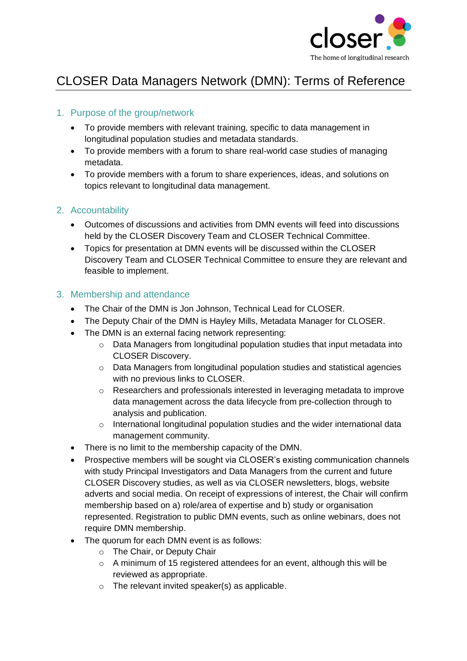

# CLOSER Data Managers Network (DMN): Terms of Reference

# 1. Purpose of the group/network

- To provide members with relevant training, specific to data management in longitudinal population studies and metadata standards.
- To provide members with a forum to share real-world case studies of managing metadata.
- To provide members with a forum to share experiences, ideas, and solutions on topics relevant to longitudinal data management.

# 2. Accountability

- Outcomes of discussions and activities from DMN events will feed into discussions held by the CLOSER Discovery Team and CLOSER Technical Committee.
- Topics for presentation at DMN events will be discussed within the CLOSER Discovery Team and CLOSER Technical Committee to ensure they are relevant and feasible to implement.

### 3. Membership and attendance

- The Chair of the DMN is Jon Johnson, Technical Lead for CLOSER.
- The Deputy Chair of the DMN is Hayley Mills, Metadata Manager for CLOSER.
- The DMN is an external facing network representing:
	- o Data Managers from longitudinal population studies that input metadata into CLOSER Discovery.
	- $\circ$  Data Managers from longitudinal population studies and statistical agencies with no previous links to CLOSER.
	- o Researchers and professionals interested in leveraging metadata to improve data management across the data lifecycle from pre-collection through to analysis and publication.
	- o International longitudinal population studies and the wider international data management community.
- There is no limit to the membership capacity of the DMN.
- Prospective members will be sought via CLOSER's existing communication channels with study Principal Investigators and Data Managers from the current and future CLOSER Discovery studies, as well as via CLOSER newsletters, blogs, website adverts and social media. On receipt of expressions of interest, the Chair will confirm membership based on a) role/area of expertise and b) study or organisation represented. Registration to public DMN events, such as online webinars, does not require DMN membership.
- The quorum for each DMN event is as follows:
	- o The Chair, or Deputy Chair
	- o A minimum of 15 registered attendees for an event, although this will be reviewed as appropriate.
	- $\circ$  The relevant invited speaker(s) as applicable.